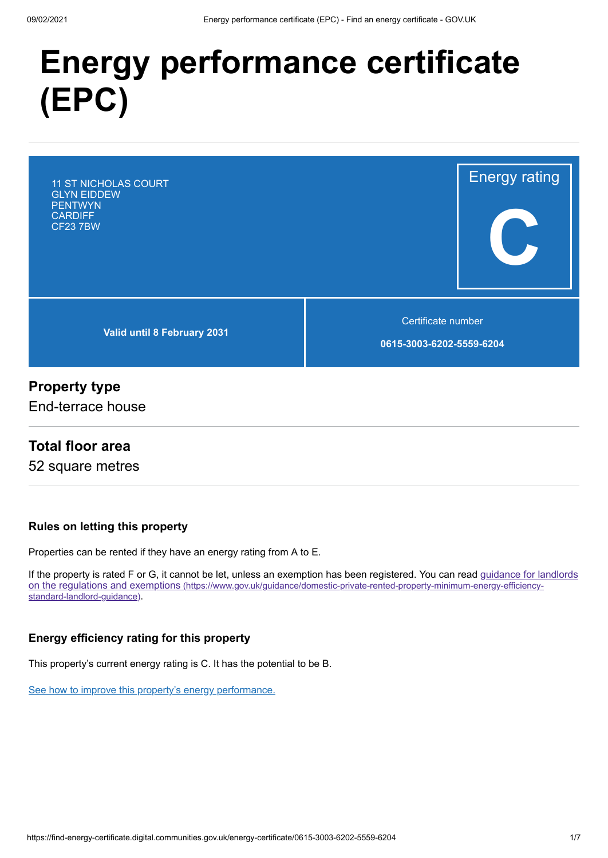# **Energy performance certificate (EPC)**

11 ST NICHOLAS COURT GLYN EIDDEW PENTWYN **CARDIFF** CF23 7BW

**Valid until 8 February 2031**

Certificate number

Energy rating

**C**

**0615-3003-6202-5559-6204**

## **Property type**

End-terrace house

## **Total floor area**

52 square metres

#### **Rules on letting this property**

Properties can be rented if they have an energy rating from A to E.

[If the property is rated F or G, it cannot be let, unless an exemption has been registered. You can read guidance for landlords](https://www.gov.uk/guidance/domestic-private-rented-property-minimum-energy-efficiency-standard-landlord-guidance) on the regulations and exemptions (https://www.gov.uk/guidance/domestic-private-rented-property-minimum-energy-efficiencystandard-landlord-guidance).

#### **Energy efficiency rating for this property**

This property's current energy rating is C. It has the potential to be B.

[See how to improve this property's energy performance.](#page-3-0)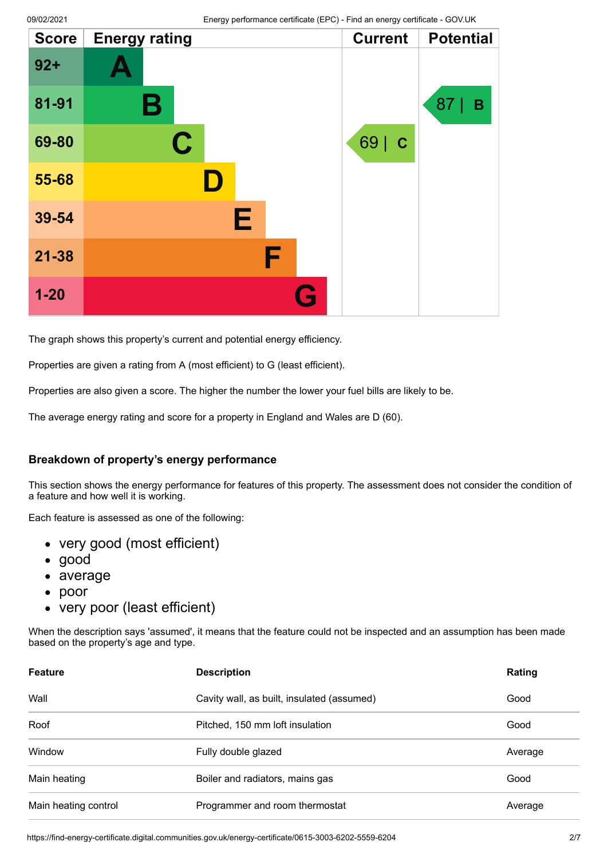| <b>Score</b> | <b>Energy rating</b> |   | <b>Current</b> | <b>Potential</b> |
|--------------|----------------------|---|----------------|------------------|
| $92 +$       |                      |   |                |                  |
| 81-91        | Β                    |   |                | 87<br>B          |
| 69-80        | $\mathbf C$          |   | 69   C         |                  |
| 55-68        |                      |   |                |                  |
| 39-54        |                      | Е |                |                  |
| $21 - 38$    |                      | F |                |                  |
| $1 - 20$     |                      | G |                |                  |

The graph shows this property's current and potential energy efficiency.

Properties are given a rating from A (most efficient) to G (least efficient).

Properties are also given a score. The higher the number the lower your fuel bills are likely to be.

The average energy rating and score for a property in England and Wales are D (60).

#### **Breakdown of property's energy performance**

This section shows the energy performance for features of this property. The assessment does not consider the condition of a feature and how well it is working.

Each feature is assessed as one of the following:

- very good (most efficient)
- good
- average
- $\bullet$ poor
- very poor (least efficient)

When the description says 'assumed', it means that the feature could not be inspected and an assumption has been made based on the property's age and type.

| <b>Feature</b>       | <b>Description</b>                         | Rating  |
|----------------------|--------------------------------------------|---------|
| Wall                 | Cavity wall, as built, insulated (assumed) | Good    |
| Roof                 | Pitched, 150 mm loft insulation            | Good    |
| Window               | Fully double glazed                        | Average |
| Main heating         | Boiler and radiators, mains gas            | Good    |
| Main heating control | Programmer and room thermostat             | Average |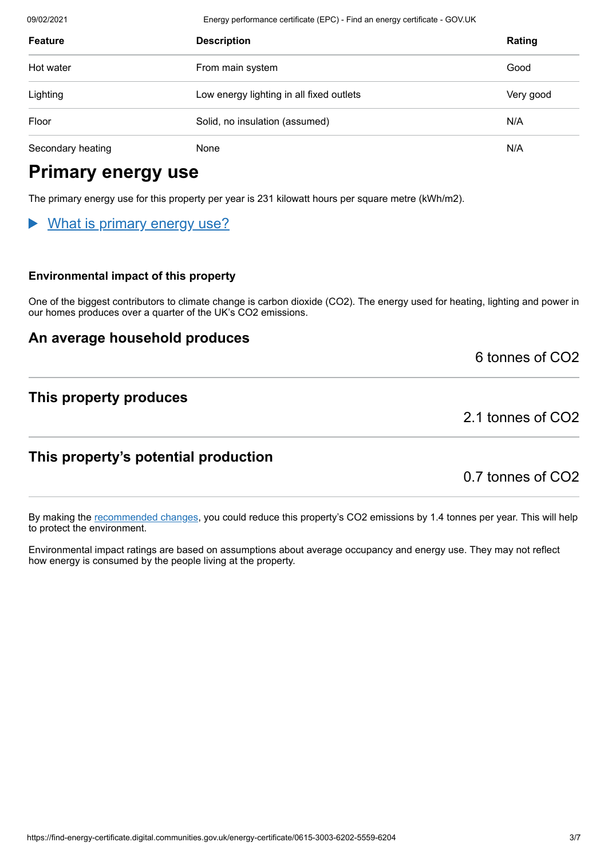09/02/2021 Energy performance certificate (EPC) - Find an energy certificate - GOV.UK

| <b>Feature</b>    | <b>Description</b>                       | Rating    |
|-------------------|------------------------------------------|-----------|
| Hot water         | From main system                         | Good      |
| Lighting          | Low energy lighting in all fixed outlets | Very good |
| Floor             | Solid, no insulation (assumed)           | N/A       |
| Secondary heating | None                                     | N/A       |

# **Primary energy use**

The primary energy use for this property per year is 231 kilowatt hours per square metre (kWh/m2).

# What is primary energy use?

#### **Environmental impact of this property**

One of the biggest contributors to climate change is carbon dioxide (CO2). The energy used for heating, lighting and power in our homes produces over a quarter of the UK's CO2 emissions.

## **An average household produces**

6 tonnes of CO2

## **This property produces**

2.1 tonnes of CO2

# **This property's potential production**

0.7 tonnes of CO2

By making the [recommended changes](#page-3-0), you could reduce this property's CO2 emissions by 1.4 tonnes per year. This will help to protect the environment.

Environmental impact ratings are based on assumptions about average occupancy and energy use. They may not reflect how energy is consumed by the people living at the property.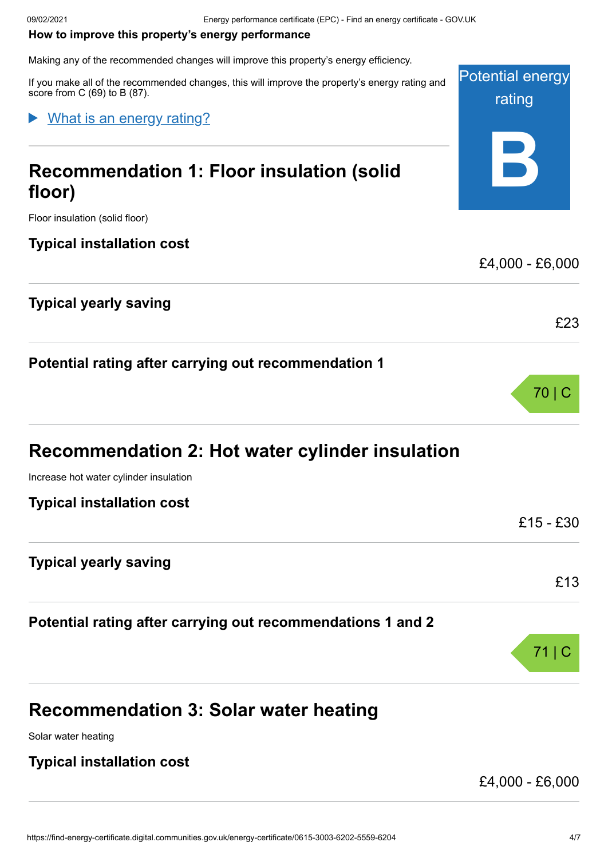#### <span id="page-3-0"></span>**How to improve this property's energy performance**

Making any of the recommended changes will improve this property's energy efficiency.

Potential energy rating **B** If you make all of the recommended changes, this will improve the property's energy rating and score from C (69) to B (87). **Recommendation 1: Floor insulation (solid floor)** Floor insulation (solid floor) **Typical installation cost** £4,000 - £6,000 **Typical yearly saving** What is an energy rating?

## **Potential rating after carrying out recommendation 1**

| <b>Recommendation 2: Hot water cylinder insulation</b> |  |  |  |  |
|--------------------------------------------------------|--|--|--|--|
|--------------------------------------------------------|--|--|--|--|

Increase hot water cylinder insulation

**Typical installation cost**

| Typical motanduon coot |  |  |
|------------------------|--|--|
|                        |  |  |
|                        |  |  |
|                        |  |  |

# **Typical yearly saving**

**Potential rating after carrying out recommendations 1 and 2**

# **Recommendation 3: Solar water heating**

Solar water heating

## **Typical installation cost**

£4,000 - £6,000

£23

70 | C

£15 - £30

71 | C

£13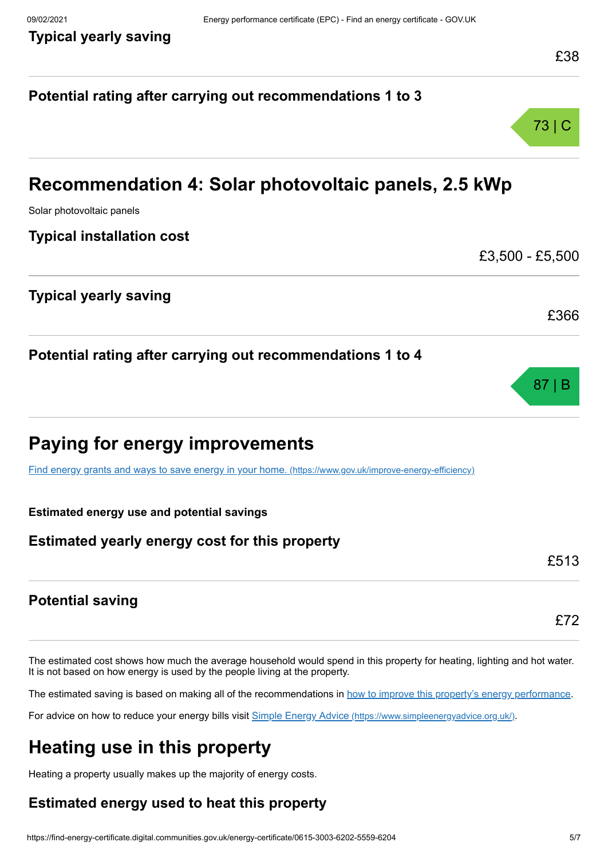# **Potential rating after carrying out recommendations 1 to 3** 73 | C **Recommendation 4: Solar photovoltaic panels, 2.5 kWp** Solar photovoltaic panels **Typical installation cost** £3,500 - £5,500 **Typical yearly saving** £366 **Potential rating after carrying out recommendations 1 to 4** 87 | B **Paying for energy improvements** [Find energy grants and ways to save energy in your home.](https://www.gov.uk/improve-energy-efficiency) (https://www.gov.uk/improve-energy-efficiency) **Estimated energy use and potential savings Estimated yearly energy cost for this property** £513 **Potential saving** £72

The estimated cost shows how much the average household would spend in this property for heating, lighting and hot water. It is not based on how energy is used by the people living at the property.

The estimated saving is based on making all of the recommendations in [how to improve this property's energy performance.](#page-3-0)

For advice on how to reduce your energy bills visit Simple Energy Advice [\(https://www.simpleenergyadvice.org.uk/\)](https://www.simpleenergyadvice.org.uk/).

# **Heating use in this property**

Heating a property usually makes up the majority of energy costs.

# **Estimated energy used to heat this property**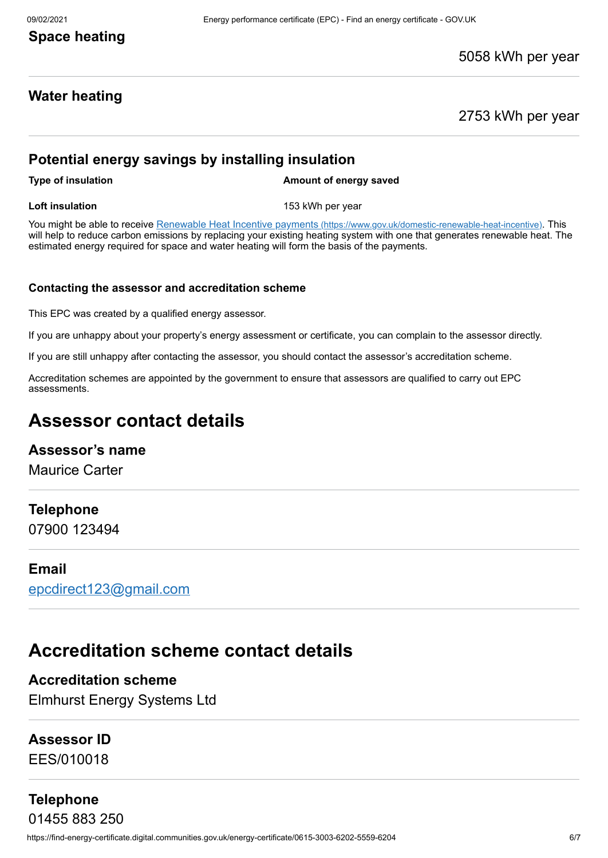# **Space heating**

#### 5058 kWh per year

# **Water heating**

2753 kWh per year

## **Potential energy savings by installing insulation**

**Type of insulation Amount of energy saved** 

**Loft insulation** 153 kWh per year

You might be able to receive Renewable Heat Incentive payments [\(https://www.gov.uk/domestic-renewable-heat-incentive\)](https://www.gov.uk/domestic-renewable-heat-incentive). This will help to reduce carbon emissions by replacing your existing heating system with one that generates renewable heat. The estimated energy required for space and water heating will form the basis of the payments.

#### **Contacting the assessor and accreditation scheme**

This EPC was created by a qualified energy assessor.

If you are unhappy about your property's energy assessment or certificate, you can complain to the assessor directly.

If you are still unhappy after contacting the assessor, you should contact the assessor's accreditation scheme.

Accreditation schemes are appointed by the government to ensure that assessors are qualified to carry out EPC assessments.

# **Assessor contact details**

#### **Assessor's name**

Maurice Carter

#### **Telephone**

07900 123494

#### **Email**

[epcdirect123@gmail.com](mailto:epcdirect123@gmail.com)

# **Accreditation scheme contact details**

# **Accreditation scheme**

Elmhurst Energy Systems Ltd

## **Assessor ID**

EES/010018

# **Telephone**

https://find-energy-certificate.digital.communities.gov.uk/energy-certificate/0615-3003-6202-5559-6204 6/7 01455 883 250